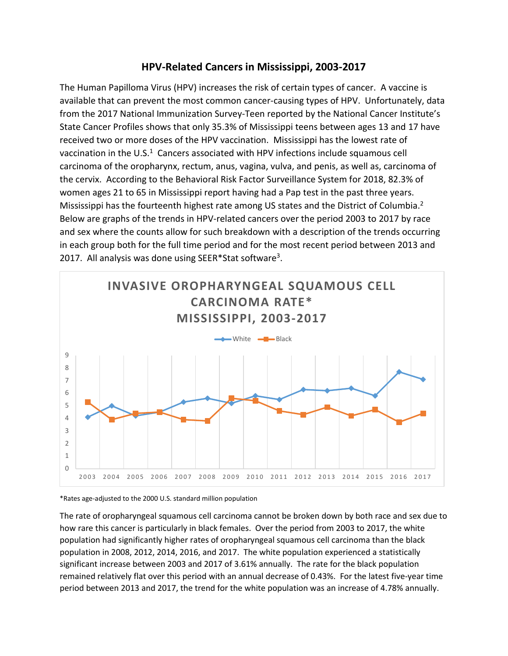## **HPV-Related Cancers in Mississippi, 2003-2017**

The Human Papilloma Virus (HPV) increases the risk of certain types of cancer. A vaccine is available that can prevent the most common cancer-causing types of HPV. Unfortunately, data from the 2017 National Immunization Survey-Teen reported by the National Cancer Institute's State Cancer Profiles shows that only 35.3% of Mississippi teens between ages 13 and 17 have received two or more doses of the HPV vaccination. Mississippi has the lowest rate of vaccination in the U.S.<sup>1</sup> Cancers associated with HPV infections include squamous cell carcinoma of the oropharynx, rectum, anus, vagina, vulva, and penis, as well as, carcinoma of the cervix. According to the Behavioral Risk Factor Surveillance System for 2018, 82.3% of women ages 21 to 65 in Mississippi report having had a Pap test in the past three years. Mississippi has the fourteenth highest rate among US states and the District of Columbia.<sup>2</sup> Below are graphs of the trends in HPV-related cancers over the period 2003 to 2017 by race and sex where the counts allow for such breakdown with a description of the trends occurring in each group both for the full time period and for the most recent period between 2013 and 2017. All analysis was done using SEER\*Stat software<sup>3</sup>.





The rate of oropharyngeal squamous cell carcinoma cannot be broken down by both race and sex due to how rare this cancer is particularly in black females. Over the period from 2003 to 2017, the white population had significantly higher rates of oropharyngeal squamous cell carcinoma than the black population in 2008, 2012, 2014, 2016, and 2017. The white population experienced a statistically significant increase between 2003 and 2017 of 3.61% annually. The rate for the black population remained relatively flat over this period with an annual decrease of 0.43%. For the latest five-year time period between 2013 and 2017, the trend for the white population was an increase of 4.78% annually.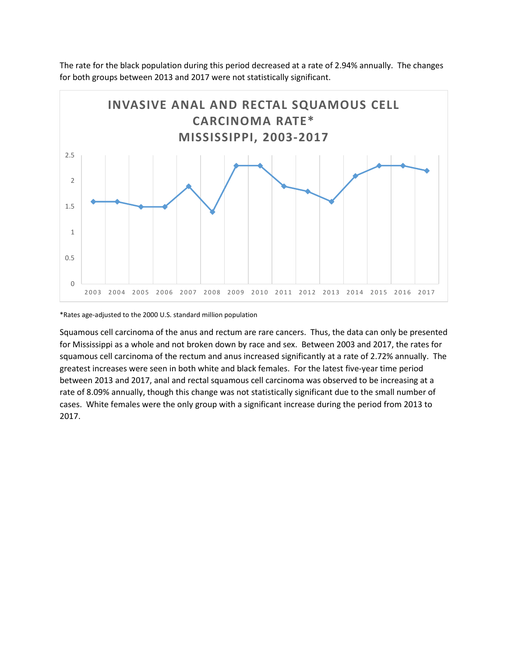The rate for the black population during this period decreased at a rate of 2.94% annually. The changes for both groups between 2013 and 2017 were not statistically significant.



\*Rates age-adjusted to the 2000 U.S. standard million population

Squamous cell carcinoma of the anus and rectum are rare cancers. Thus, the data can only be presented for Mississippi as a whole and not broken down by race and sex. Between 2003 and 2017, the rates for squamous cell carcinoma of the rectum and anus increased significantly at a rate of 2.72% annually. The greatest increases were seen in both white and black females. For the latest five-year time period between 2013 and 2017, anal and rectal squamous cell carcinoma was observed to be increasing at a rate of 8.09% annually, though this change was not statistically significant due to the small number of cases. White females were the only group with a significant increase during the period from 2013 to 2017.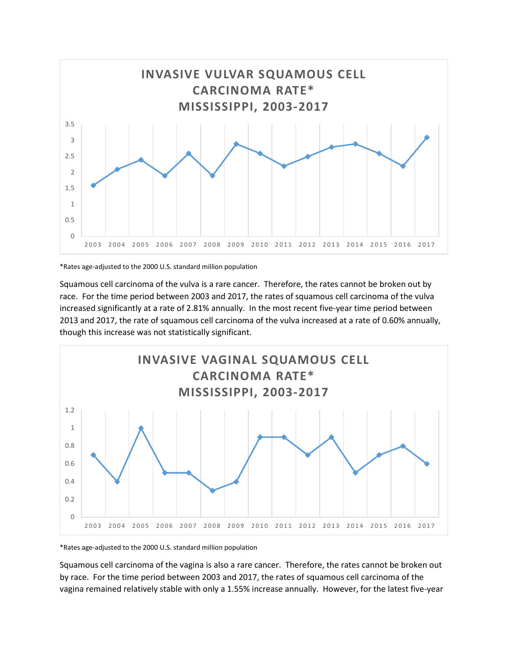

\*Rates age-adjusted to the 2000 U.S. standard million population

Squamous cell carcinoma of the vulva is a rare cancer. Therefore, the rates cannot be broken out by race. For the time period between 2003 and 2017, the rates of squamous cell carcinoma of the vulva increased significantly at a rate of 2.81% annually. In the most recent five-year time period between 2013 and 2017, the rate of squamous cell carcinoma of the vulva increased at a rate of 0.60% annually, though this increase was not statistically significant.



\*Rates age-adjusted to the 2000 U.S. standard million population

Squamous cell carcinoma of the vagina is also a rare cancer. Therefore, the rates cannot be broken out by race. For the time period between 2003 and 2017, the rates of squamous cell carcinoma of the vagina remained relatively stable with only a 1.55% increase annually. However, for the latest five-year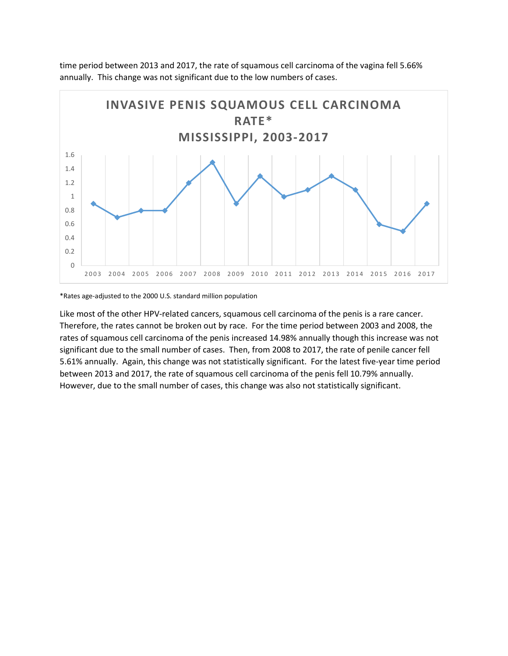time period between 2013 and 2017, the rate of squamous cell carcinoma of the vagina fell 5.66% annually. This change was not significant due to the low numbers of cases.



\*Rates age-adjusted to the 2000 U.S. standard million population

Like most of the other HPV-related cancers, squamous cell carcinoma of the penis is a rare cancer. Therefore, the rates cannot be broken out by race. For the time period between 2003 and 2008, the rates of squamous cell carcinoma of the penis increased 14.98% annually though this increase was not significant due to the small number of cases. Then, from 2008 to 2017, the rate of penile cancer fell 5.61% annually. Again, this change was not statistically significant. For the latest five-year time period between 2013 and 2017, the rate of squamous cell carcinoma of the penis fell 10.79% annually. However, due to the small number of cases, this change was also not statistically significant.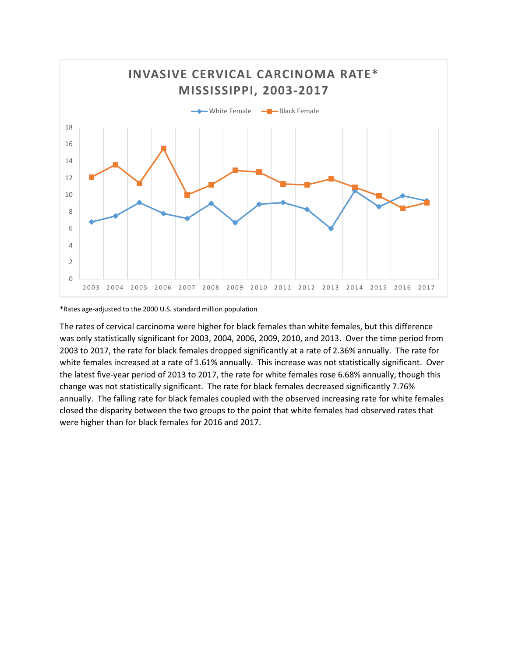

\*Rates age-adjusted to the 2000 U.S. standard million population

The rates of cervical carcinoma were higher for black females than white females, but this difference was only statistically significant for 2003, 2004, 2006, 2009, 2010, and 2013. Over the time period from 2003 to 2017, the rate for black females dropped significantly at a rate of 2.36% annually. The rate for white females increased at a rate of 1.61% annually. This increase was not statistically significant. Over the latest five-year period of 2013 to 2017, the rate for white females rose 6.68% annually, though this change was not statistically significant. The rate for black females decreased significantly 7.76% annually. The falling rate for black females coupled with the observed increasing rate for white females closed the disparity between the two groups to the point that white females had observed rates that were higher than for black females for 2016 and 2017.